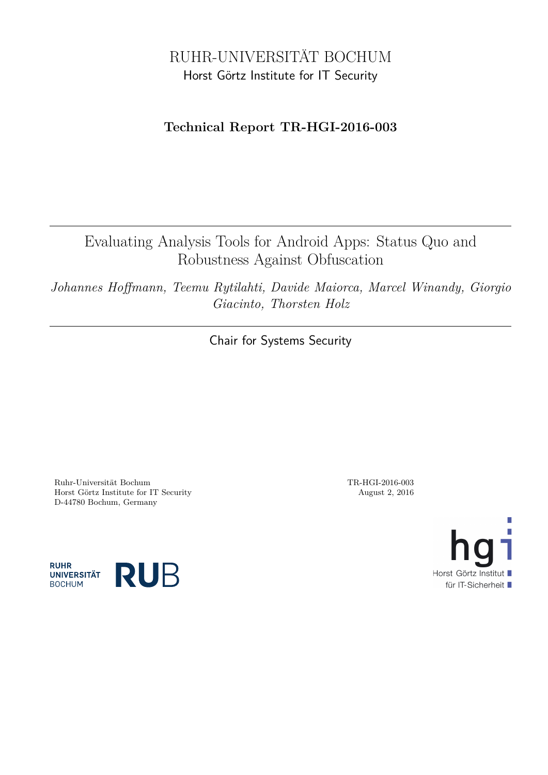# RUHR-UNIVERSITÄT BOCHUM Horst Görtz Institute for IT Security

# **Technical Report TR-HGI-2016-003**

Evaluating Analysis Tools for Android Apps: Status Quo and Robustness Against Obfuscation

*Johannes Hoffmann, Teemu Rytilahti, Davide Maiorca, Marcel Winandy, Giorgio Giacinto, Thorsten Holz*

Chair for Systems Security

Ruhr-Universität Bochum TR-HGI-2016-003 Horst Görtz Institute for IT Security August 2, 2016 D-44780 Bochum, Germany



**RUHR UNIVERSITÄT BOCHUM** 

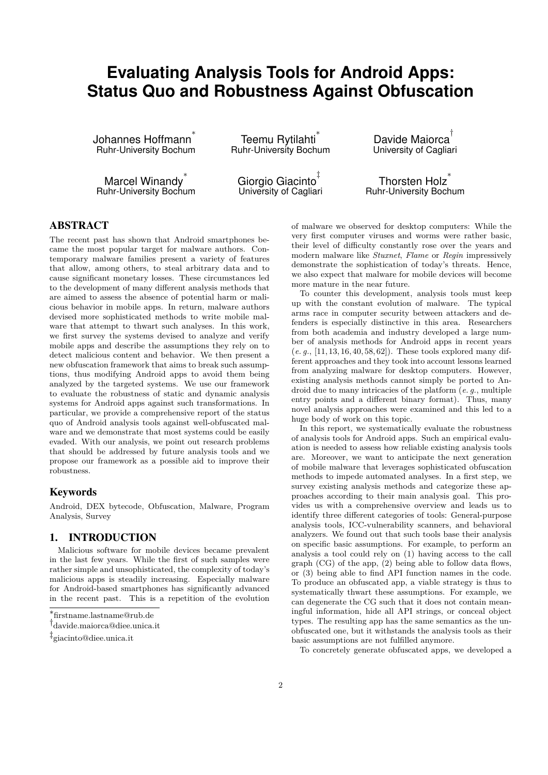# **Evaluating Analysis Tools for Android Apps: Status Quo and Robustness Against Obfuscation**

Johannes Hoffmann ∗ Ruhr-University Bochum

Marcel Winandy<sup>\*</sup> Ruhr-University Bochum

Teemu Rytilahti<sup>\*</sup> Ruhr-University Bochum

Giorgio Giacinto<sup>‡</sup> University of Cagliari

Davide Maiorca † University of Cagliari

Thorsten Holz ∗ Ruhr-University Bochum

# ABSTRACT

The recent past has shown that Android smartphones became the most popular target for malware authors. Contemporary malware families present a variety of features that allow, among others, to steal arbitrary data and to cause significant monetary losses. These circumstances led to the development of many different analysis methods that are aimed to assess the absence of potential harm or malicious behavior in mobile apps. In return, malware authors devised more sophisticated methods to write mobile malware that attempt to thwart such analyses. In this work, we first survey the systems devised to analyze and verify mobile apps and describe the assumptions they rely on to detect malicious content and behavior. We then present a new obfuscation framework that aims to break such assumptions, thus modifying Android apps to avoid them being analyzed by the targeted systems. We use our framework to evaluate the robustness of static and dynamic analysis systems for Android apps against such transformations. In particular, we provide a comprehensive report of the status quo of Android analysis tools against well-obfuscated malware and we demonstrate that most systems could be easily evaded. With our analysis, we point out research problems that should be addressed by future analysis tools and we propose our framework as a possible aid to improve their robustness.

## Keywords

Android, DEX bytecode, Obfuscation, Malware, Program Analysis, Survey

# 1. INTRODUCTION

Malicious software for mobile devices became prevalent in the last few years. While the first of such samples were rather simple and unsophisticated, the complexity of today's malicious apps is steadily increasing. Especially malware for Android-based smartphones has significantly advanced in the recent past. This is a repetition of the evolution

of malware we observed for desktop computers: While the very first computer viruses and worms were rather basic, their level of difficulty constantly rose over the years and modern malware like *Stuxnet*, *Flame* or *Regin* impressively demonstrate the sophistication of today's threats. Hence, we also expect that malware for mobile devices will become more mature in the near future.

To counter this development, analysis tools must keep up with the constant evolution of malware. The typical arms race in computer security between attackers and defenders is especially distinctive in this area. Researchers from both academia and industry developed a large number of analysis methods for Android apps in recent years (*e. g.*, [\[11,](#page-12-0) [13,](#page-12-1) [16,](#page-12-2) [40,](#page-12-3) [58,](#page-13-0) [62\]](#page-13-1)). These tools explored many different approaches and they took into account lessons learned from analyzing malware for desktop computers. However, existing analysis methods cannot simply be ported to Android due to many intricacies of the platform (*e. g.*, multiple entry points and a different binary format). Thus, many novel analysis approaches were examined and this led to a huge body of work on this topic.

In this report, we systematically evaluate the robustness of analysis tools for Android apps. Such an empirical evaluation is needed to assess how reliable existing analysis tools are. Moreover, we want to anticipate the next generation of mobile malware that leverages sophisticated obfuscation methods to impede automated analyses. In a first step, we survey existing analysis methods and categorize these approaches according to their main analysis goal. This provides us with a comprehensive overview and leads us to identify three different categories of tools: General-purpose analysis tools, ICC-vulnerability scanners, and behavioral analyzers. We found out that such tools base their analysis on specific basic assumptions. For example, to perform an analysis a tool could rely on (1) having access to the call graph (CG) of the app, (2) being able to follow data flows, or (3) being able to find API function names in the code. To produce an obfuscated app, a viable strategy is thus to systematically thwart these assumptions. For example, we can degenerate the CG such that it does not contain meaningful information, hide all API strings, or conceal object types. The resulting app has the same semantics as the unobfuscated one, but it withstands the analysis tools as their basic assumptions are not fulfilled anymore.

To concretely generate obfuscated apps, we developed a

<sup>∗</sup> firstname.lastname@rub.de

<sup>†</sup> davide.maiorca@diee.unica.it

<sup>‡</sup> giacinto@diee.unica.it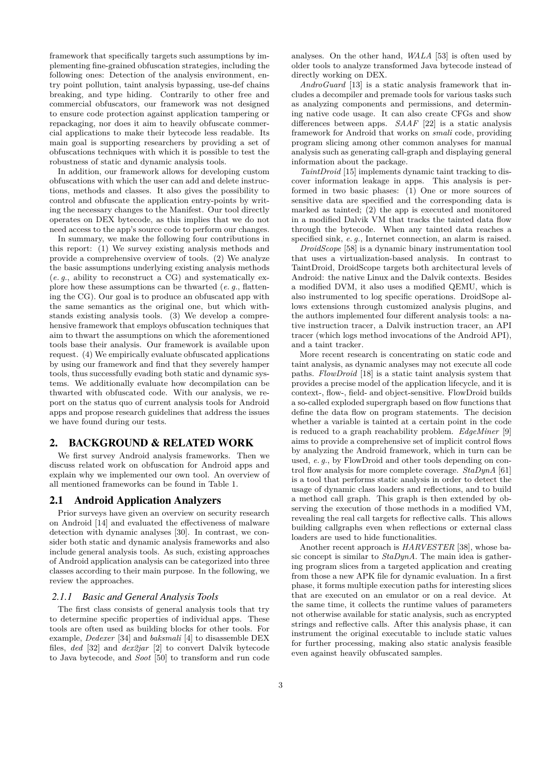framework that specifically targets such assumptions by implementing fine-grained obfuscation strategies, including the following ones: Detection of the analysis environment, entry point pollution, taint analysis bypassing, use-def chains breaking, and type hiding. Contrarily to other free and commercial obfuscators, our framework was not designed to ensure code protection against application tampering or repackaging, nor does it aim to heavily obfuscate commercial applications to make their bytecode less readable. Its main goal is supporting researchers by providing a set of obfuscations techniques with which it is possible to test the robustness of static and dynamic analysis tools.

In addition, our framework allows for developing custom obfuscations with which the user can add and delete instructions, methods and classes. It also gives the possibility to control and obfuscate the application entry-points by writing the necessary changes to the Manifest. Our tool directly operates on DEX bytecode, as this implies that we do not need access to the app's source code to perform our changes.

In summary, we make the following four contributions in this report: (1) We survey existing analysis methods and provide a comprehensive overview of tools. (2) We analyze the basic assumptions underlying existing analysis methods (*e. g.*, ability to reconstruct a CG) and systematically explore how these assumptions can be thwarted (*e. g.*, flattening the CG). Our goal is to produce an obfuscated app with the same semantics as the original one, but which withstands existing analysis tools. (3) We develop a comprehensive framework that employs obfuscation techniques that aim to thwart the assumptions on which the aforementioned tools base their analysis. Our framework is available upon request. (4) We empirically evaluate obfuscated applications by using our framework and find that they severely hamper tools, thus successfully evading both static and dynamic systems. We additionally evaluate how decompilation can be thwarted with obfuscated code. With our analysis, we report on the status quo of current analysis tools for Android apps and propose research guidelines that address the issues we have found during our tests.

## 2. BACKGROUND & RELATED WORK

We first survey Android analysis frameworks. Then we discuss related work on obfuscation for Android apps and explain why we implemented our own tool. An overview of all mentioned frameworks can be found in Table [1.](#page-3-0)

## 2.1 Android Application Analyzers

Prior surveys have given an overview on security research on Android [\[14\]](#page-12-4) and evaluated the effectiveness of malware detection with dynamic analyses [\[30\]](#page-12-5). In contrast, we consider both static and dynamic analysis frameworks and also include general analysis tools. As such, existing approaches of Android application analysis can be categorized into three classes according to their main purpose. In the following, we review the approaches.

# *2.1.1 Basic and General Analysis Tools*

The first class consists of general analysis tools that try to determine specific properties of individual apps. These tools are often used as building blocks for other tools. For example, *Dedexer* [\[34\]](#page-12-6) and *baksmali* [\[4\]](#page-11-0) to disassemble DEX files, *ded* [\[32\]](#page-12-7) and *dex2jar* [\[2\]](#page-11-1) to convert Dalvik bytecode to Java bytecode, and *Soot* [\[50\]](#page-13-2) to transform and run code analyses. On the other hand, *WALA* [\[53\]](#page-13-3) is often used by older tools to analyze transformed Java bytecode instead of directly working on DEX.

*AndroGuard* [\[13\]](#page-12-1) is a static analysis framework that includes a decompiler and premade tools for various tasks such as analyzing components and permissions, and determining native code usage. It can also create CFGs and show differences between apps. *SAAF* [\[22\]](#page-12-8) is a static analysis framework for Android that works on *smali* code, providing program slicing among other common analyses for manual analysis such as generating call-graph and displaying general information about the package.

*TaintDroid* [\[15\]](#page-12-9) implements dynamic taint tracking to discover information leakage in apps. This analysis is performed in two basic phases: (1) One or more sources of sensitive data are specified and the corresponding data is marked as tainted; (2) the app is executed and monitored in a modified Dalvik VM that tracks the tainted data flow through the bytecode. When any tainted data reaches a specified sink, *e. g.*, Internet connection, an alarm is raised.

*DroidScope* [\[58\]](#page-13-0) is a dynamic binary instrumentation tool that uses a virtualization-based analysis. In contrast to TaintDroid, DroidScope targets both architectural levels of Android: the native Linux and the Dalvik contexts. Besides a modified DVM, it also uses a modified QEMU, which is also instrumented to log specific operations. DroidSope allows extensions through customized analysis plugins, and the authors implemented four different analysis tools: a native instruction tracer, a Dalvik instruction tracer, an API tracer (which logs method invocations of the Android API), and a taint tracker.

More recent research is concentrating on static code and taint analysis, as dynamic analyses may not execute all code paths. *FlowDroid* [\[18\]](#page-12-10) is a static taint analysis system that provides a precise model of the application lifecycle, and it is context-, flow-, field- and object-sensitive. FlowDroid builds a so-called exploded supergraph based on flow functions that define the data flow on program statements. The decision whether a variable is tainted at a certain point in the code is reduced to a graph reachability problem. *EdgeMiner* [\[9\]](#page-11-2) aims to provide a comprehensive set of implicit control flows by analyzing the Android framework, which in turn can be used, *e. g.*, by FlowDroid and other tools depending on control flow analysis for more complete coverage. *StaDynA* [\[61\]](#page-13-4) is a tool that performs static analysis in order to detect the usage of dynamic class loaders and reflections, and to build a method call graph. This graph is then extended by observing the execution of those methods in a modified VM, revealing the real call targets for reflective calls. This allows building callgraphs even when reflections or external class loaders are used to hide functionalities.

Another recent approach is *HARVESTER* [\[38\]](#page-12-11), whose basic concept is similar to *StaDynA*. The main idea is gathering program slices from a targeted application and creating from those a new APK file for dynamic evaluation. In a first phase, it forms multiple execution paths for interesting slices that are executed on an emulator or on a real device. At the same time, it collects the runtime values of parameters not otherwise available for static analysis, such as encrypted strings and reflective calls. After this analysis phase, it can instrument the original executable to include static values for further processing, making also static analysis feasible even against heavily obfuscated samples.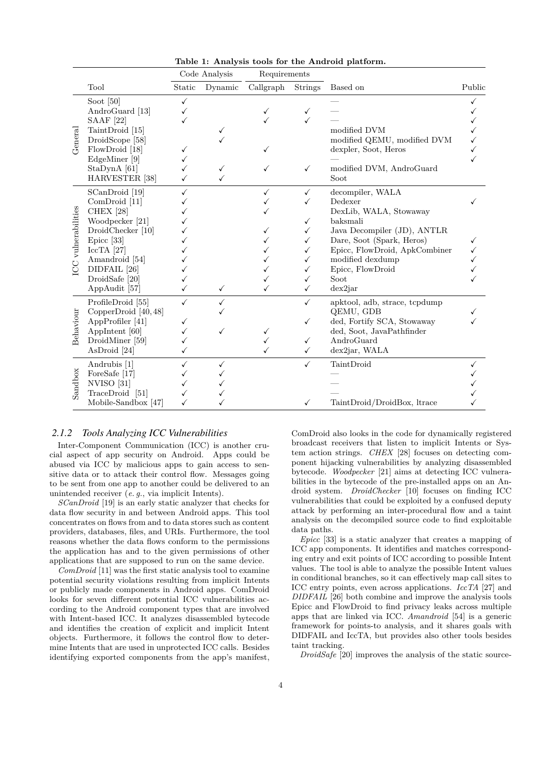|                     |                                                                                                                      |                        | Code Analysis                | Requirements           |                                                   |                                                                                                                                      |        |
|---------------------|----------------------------------------------------------------------------------------------------------------------|------------------------|------------------------------|------------------------|---------------------------------------------------|--------------------------------------------------------------------------------------------------------------------------------------|--------|
|                     | Tool                                                                                                                 | Static                 | Dynamic                      | Callgraph              | <b>Strings</b>                                    | Based on                                                                                                                             | Public |
|                     | Soot $[50]$<br>AndroGuard [13]<br><b>SAAF</b> [22]<br>TaintDroid [15]                                                | $\checkmark$           |                              | ✓                      | √                                                 | modified DVM                                                                                                                         |        |
| General             | DroidScope [58]<br>FlowDroid [18]<br>EdgeMiner [9]                                                                   | ✓                      |                              |                        |                                                   | modified QEMU, modified DVM<br>dexpler, Soot, Heros                                                                                  |        |
|                     | $StaDynA$ [61]<br>HARVESTER <sup>[38]</sup>                                                                          | ✓                      | $\checkmark$<br>$\checkmark$ | ✓                      | $\checkmark$                                      | modified DVM, AndroGuard<br>Soot                                                                                                     |        |
|                     | SCanDroid [19]<br>ComDroid [11]<br><b>CHEX</b> [28]                                                                  | $\checkmark$           |                              | ✓                      | $\checkmark$<br>✓                                 | decompiler, WALA<br>Dedexer<br>DexLib, WALA, Stowaway                                                                                |        |
| ICC vulnerabilities | Woodpecker [21]<br>DroidChecker [10]<br>Epicc $[33]$                                                                 |                        |                              |                        | $\checkmark$<br>$\checkmark$<br>$\checkmark$      | baksmali<br>Java Decompiler (JD), ANTLR<br>Dare, Soot (Spark, Heros)                                                                 |        |
|                     | $\text{IccTA}$ [27]<br>Amandroid [54]<br>DIDFAIL [26]                                                                |                        |                              |                        | $\checkmark$<br>$\checkmark$<br>✓                 | Epicc, FlowDroid, ApkCombiner<br>modified dexdump<br>Epicc, FlowDroid                                                                |        |
|                     | DroidSafe [20]<br>AppAudit [57]                                                                                      | ✓                      | $\checkmark$                 | ✓                      | ✓<br>$\checkmark$                                 | Soot<br>$dex$ 2 $iar$                                                                                                                |        |
| Behaviour           | ProfileDroid [55]<br>CopperDroid $[40, 48]$<br>AppProfiler [41]<br>AppIntent [60]<br>DroidMiner [59]<br>AsDroid [24] | $\checkmark$<br>✓<br>✓ | ✓<br>✓                       | ✓<br>$\checkmark$<br>✓ | $\checkmark$<br>✓<br>$\checkmark$<br>$\checkmark$ | apktool, adb, strace, tcpdump<br>QEMU, GDB<br>ded, Fortify SCA, Stowaway<br>ded, Soot, JavaPathfinder<br>AndroGuard<br>dex2jar, WALA |        |
| Sandbox             | Andrubis [1]<br>ForeSafe [17]<br>NVISO [31]<br>TraceDroid [51]                                                       | $\checkmark$<br>✓      | $\checkmark$                 |                        | $\checkmark$                                      | TaintDroid                                                                                                                           |        |
|                     | Mobile-Sandbox [47]                                                                                                  | ✓                      |                              |                        | ✓                                                 | TaintDroid/DroidBox, ltrace                                                                                                          |        |

<span id="page-3-0"></span>**Table 1: Analysis tools for the Android platform.**

# *2.1.2 Tools Analyzing ICC Vulnerabilities*

Inter-Component Communication (ICC) is another crucial aspect of app security on Android. Apps could be abused via ICC by malicious apps to gain access to sensitive data or to attack their control flow. Messages going to be sent from one app to another could be delivered to an unintended receiver (*e. g.*, via implicit Intents).

*SCanDroid* [\[19\]](#page-12-12) is an early static analyzer that checks for data flow security in and between Android apps. This tool concentrates on flows from and to data stores such as content providers, databases, files, and URIs. Furthermore, the tool reasons whether the data flows conform to the permissions the application has and to the given permissions of other applications that are supposed to run on the same device.

*ComDroid* [\[11\]](#page-12-0) was the first static analysis tool to examine potential security violations resulting from implicit Intents or publicly made components in Android apps. ComDroid looks for seven different potential ICC vulnerabilities according to the Android component types that are involved with Intent-based ICC. It analyzes disassembled bytecode and identifies the creation of explicit and implicit Intent objects. Furthermore, it follows the control flow to determine Intents that are used in unprotected ICC calls. Besides identifying exported components from the app's manifest,

ComDroid also looks in the code for dynamically registered broadcast receivers that listen to implicit Intents or System action strings. *CHEX* [\[28\]](#page-12-13) focuses on detecting component hijacking vulnerabilities by analyzing disassembled bytecode. *Woodpecker* [\[21\]](#page-12-14) aims at detecting ICC vulnerabilities in the bytecode of the pre-installed apps on an Android system. *DroidChecker* [\[10\]](#page-11-3) focuses on finding ICC vulnerabilities that could be exploited by a confused deputy attack by performing an inter-procedural flow and a taint analysis on the decompiled source code to find exploitable data paths.

*Epicc* [\[33\]](#page-12-15) is a static analyzer that creates a mapping of ICC app components. It identifies and matches corresponding entry and exit points of ICC according to possible Intent values. The tool is able to analyze the possible Intent values in conditional branches, so it can effectively map call sites to ICC entry points, even across applications. *IccTA* [\[27\]](#page-12-16) and *DIDFAIL* [\[26\]](#page-12-17) both combine and improve the analysis tools Epicc and FlowDroid to find privacy leaks across multiple apps that are linked via ICC. *Amandroid* [\[54\]](#page-13-5) is a generic framework for points-to analysis, and it shares goals with DIDFAIL and IccTA, but provides also other tools besides taint tracking.

*DroidSafe* [\[20\]](#page-12-18) improves the analysis of the static source-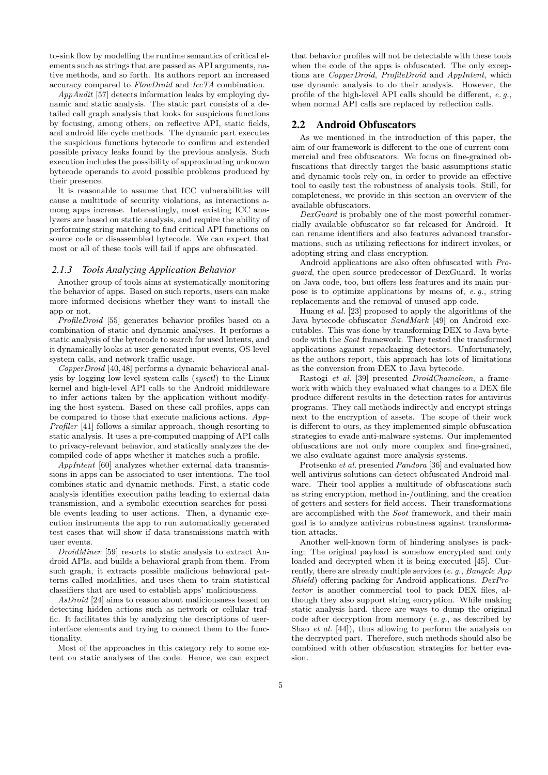to-sink flow by modelling the runtime semantics of critical elements such as strings that are passed as API arguments, native methods, and so forth. Its authors report an increased accuracy compared to *FlowDroid* and *IccTA* combination.

*AppAudit* [\[57\]](#page-13-6) detects information leaks by employing dynamic and static analysis. The static part consists of a detailed call graph analysis that looks for suspicious functions by focusing, among others, on reflective API, static fields, and android life cycle methods. The dynamic part executes the suspicious functions bytecode to confirm and extended possible privacy leaks found by the previous analysis. Such execution includes the possibility of approximating unknown bytecode operands to avoid possible problems produced by their presence.

It is reasonable to assume that ICC vulnerabilities will cause a multitude of security violations, as interactions among apps increase. Interestingly, most existing ICC analyzers are based on static analysis, and require the ability of performing string matching to find critical API functions on source code or disassembled bytecode. We can expect that most or all of these tools will fail if apps are obfuscated.

### *2.1.3 Tools Analyzing Application Behavior*

Another group of tools aims at systematically monitoring the behavior of apps. Based on such reports, users can make more informed decisions whether they want to install the app or not.

*ProfileDroid* [\[55\]](#page-13-7) generates behavior profiles based on a combination of static and dynamic analyses. It performs a static analysis of the bytecode to search for used Intents, and it dynamically looks at user-generated input events, OS-level system calls, and network traffic usage.

*CopperDroid* [\[40,](#page-12-3)[48\]](#page-13-8) performs a dynamic behavioral analysis by logging low-level system calls (*sysctl*) to the Linux kernel and high-level API calls to the Android middleware to infer actions taken by the application without modifying the host system. Based on these call profiles, apps can be compared to those that execute malicious actions. *App-Profiler* [\[41\]](#page-12-19) follows a similar approach, though resorting to static analysis. It uses a pre-computed mapping of API calls to privacy-relevant behavior, and statically analyzes the decompiled code of apps whether it matches such a profile.

*AppIntent* [\[60\]](#page-13-9) analyzes whether external data transmissions in apps can be associated to user intentions. The tool combines static and dynamic methods. First, a static code analysis identifies execution paths leading to external data transmission, and a symbolic execution searches for possible events leading to user actions. Then, a dynamic execution instruments the app to run automatically generated test cases that will show if data transmissions match with user events.

*DroidMiner* [\[59\]](#page-13-10) resorts to static analysis to extract Android APIs, and builds a behavioral graph from them. From such graph, it extracts possible malicious behavioral patterns called modalities, and uses them to train statistical classifiers that are used to establish apps' maliciousness.

*AsDroid* [\[24\]](#page-12-20) aims to reason about maliciousness based on detecting hidden actions such as network or cellular traffic. It facilitates this by analyzing the descriptions of userinterface elements and trying to connect them to the functionality.

Most of the approaches in this category rely to some extent on static analyses of the code. Hence, we can expect

that behavior profiles will not be detectable with these tools when the code of the apps is obfuscated. The only exceptions are *CopperDroid*, *ProfileDroid* and *AppIntent*, which use dynamic analysis to do their analysis. However, the profile of the high-level API calls should be different, *e. g.*, when normal API calls are replaced by reflection calls.

## 2.2 Android Obfuscators

As we mentioned in the introduction of this paper, the aim of our framework is different to the one of current commercial and free obfuscators. We focus on fine-grained obfuscations that directly target the basic assumptions static and dynamic tools rely on, in order to provide an effective tool to easily test the robustness of analysis tools. Still, for completeness, we provide in this section an overview of the available obfuscators.

*DexGuard* is probably one of the most powerful commercially available obfuscator so far released for Android. It can rename identifiers and also features advanced transformations, such as utilizing reflections for indirect invokes, or adopting string and class encryption.

Android applications are also often obfuscated with *Proguard*, the open source predecessor of DexGuard. It works on Java code, too, but offers less features and its main purpose is to optimize applications by means of, *e. g.*, string replacements and the removal of unused app code.

Huang *et al.* [\[23\]](#page-12-23) proposed to apply the algorithms of the Java bytecode obfuscator *SandMark* [\[49\]](#page-13-13) on Android executables. This was done by transforming DEX to Java bytecode with the *Soot* framework. They tested the transformed applications against repackaging detectors. Unfortunately, as the authors report, this approach has lots of limitations as the conversion from DEX to Java bytecode.

Rastogi *et al.* [\[39\]](#page-12-24) presented *DroidChameleon*, a framework with which they evaluated what changes to a DEX file produce different results in the detection rates for antivirus programs. They call methods indirectly and encrypt strings next to the encryption of assets. The scope of their work is different to ours, as they implemented simple obfuscation strategies to evade anti-malware systems. Our implemented obfuscations are not only more complex and fine-grained, we also evaluate against more analysis systems.

Protsenko *et al.* presented *Pandora* [\[36\]](#page-12-25) and evaluated how well antivirus solutions can detect obfuscated Android malware. Their tool applies a multitude of obfuscations such as string encryption, method in-/outlining, and the creation of getters and setters for field access. Their transformations are accomplished with the *Soot* framework, and their main goal is to analyze antivirus robustness against transformation attacks.

Another well-known form of hindering analyses is packing: The original payload is somehow encrypted and only loaded and decrypted when it is being executed [\[45\]](#page-13-14). Currently, there are already multiple services (*e. g.*, *Bangcle App Shield*) offering packing for Android applications. *DexProtector* is another commercial tool to pack DEX files, although they also support string encryption. While making static analysis hard, there are ways to dump the original code after decryption from memory (*e. g.*, as described by Shao *et al.* [\[44\]](#page-13-15)), thus allowing to perform the analysis on the decrypted part. Therefore, such methods should also be combined with other obfuscation strategies for better evasion.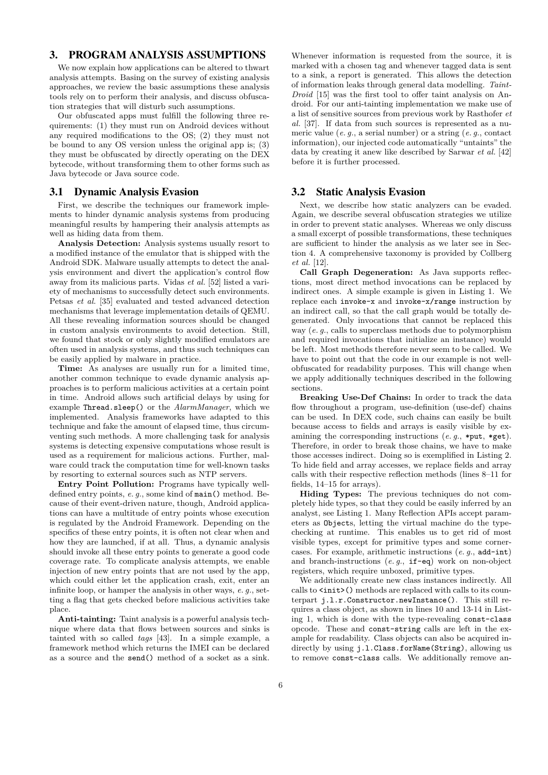## <span id="page-5-0"></span>3. PROGRAM ANALYSIS ASSUMPTIONS

We now explain how applications can be altered to thwart analysis attempts. Basing on the survey of existing analysis approaches, we review the basic assumptions these analysis tools rely on to perform their analysis, and discuss obfuscation strategies that will disturb such assumptions.

Our obfuscated apps must fulfill the following three requirements: (1) they must run on Android devices without any required modifications to the OS; (2) they must not be bound to any OS version unless the original app is; (3) they must be obfuscated by directly operating on the DEX bytecode, without transforming them to other forms such as Java bytecode or Java source code.

#### 3.1 Dynamic Analysis Evasion

First, we describe the techniques our framework implements to hinder dynamic analysis systems from producing meaningful results by hampering their analysis attempts as well as hiding data from them.

**Analysis Detection:** Analysis systems usually resort to a modified instance of the emulator that is shipped with the Android SDK. Malware usually attempts to detect the analysis environment and divert the application's control flow away from its malicious parts. Vidas *et al.* [\[52\]](#page-13-16) listed a variety of mechanisms to successfully detect such environments. Petsas *et al.* [\[35\]](#page-12-26) evaluated and tested advanced detection mechanisms that leverage implementation details of QEMU. All these revealing information sources should be changed in custom analysis environments to avoid detection. Still, we found that stock or only slightly modified emulators are often used in analysis systems, and thus such techniques can be easily applied by malware in practice.

**Time:** As analyses are usually run for a limited time, another common technique to evade dynamic analysis approaches is to perform malicious activities at a certain point in time. Android allows such artificial delays by using for example Thread.sleep() or the *AlarmManager*, which we implemented. Analysis frameworks have adapted to this technique and fake the amount of elapsed time, thus circumventing such methods. A more challenging task for analysis systems is detecting expensive computations whose result is used as a requirement for malicious actions. Further, malware could track the computation time for well-known tasks by resorting to external sources such as NTP servers.

**Entry Point Pollution:** Programs have typically welldefined entry points, *e. g.*, some kind of main() method. Because of their event-driven nature, though, Android applications can have a multitude of entry points whose execution is regulated by the Android Framework. Depending on the specifics of these entry points, it is often not clear when and how they are launched, if at all. Thus, a dynamic analysis should invoke all these entry points to generate a good code coverage rate. To complicate analysis attempts, we enable injection of new entry points that are not used by the app, which could either let the application crash, exit, enter an infinite loop, or hamper the analysis in other ways, *e. g.*, setting a flag that gets checked before malicious activities take place.

**Anti-tainting:** Taint analysis is a powerful analysis technique where data that flows between sources and sinks is tainted with so called *tags* [\[43\]](#page-13-17). In a simple example, a framework method which returns the IMEI can be declared as a source and the send() method of a socket as a sink.

Whenever information is requested from the source, it is marked with a chosen tag and whenever tagged data is sent to a sink, a report is generated. This allows the detection of information leaks through general data modelling. *Taint-Droid* [\[15\]](#page-12-9) was the first tool to offer taint analysis on Android. For our anti-tainting implementation we make use of a list of sensitive sources from previous work by Rasthofer *et al.* [\[37\]](#page-12-27). If data from such sources is represented as a numeric value (*e. g.*, a serial number) or a string (*e. g.*, contact information), our injected code automatically "untaints" the data by creating it anew like described by Sarwar *et al.* [\[42\]](#page-13-18) before it is further processed.

### 3.2 Static Analysis Evasion

Next, we describe how static analyzers can be evaded. Again, we describe several obfuscation strategies we utilize in order to prevent static analyses. Whereas we only discuss a small excerpt of possible transformations, these techniques are sufficient to hinder the analysis as we later see in Section [4.](#page-6-0) A comprehensive taxonomy is provided by Collberg *et al.* [\[12\]](#page-12-28).

**Call Graph Degeneration:** As Java supports reflections, most direct method invocations can be replaced by indirect ones. A simple example is given in Listing [1.](#page-6-1) We replace each invoke-x and invoke-x/range instruction by an indirect call, so that the call graph would be totally degenerated. Only invocations that cannot be replaced this way (*e. g.*, calls to superclass methods due to polymorphism and required invocations that initialize an instance) would be left. Most methods therefore never seem to be called. We have to point out that the code in our example is not wellobfuscated for readability purposes. This will change when we apply additionally techniques described in the following sections.

**Breaking Use-Def Chains:** In order to track the data flow throughout a program, use-definition (use-def) chains can be used. In DEX code, such chains can easily be built because access to fields and arrays is easily visible by examining the corresponding instructions (*e. g.*, \*put, \*get). Therefore, in order to break those chains, we have to make those accesses indirect. Doing so is exemplified in Listing [2.](#page-6-2) To hide field and array accesses, we replace fields and array calls with their respective reflection methods (lines 8–11 for fields, 14–15 for arrays).

**Hiding Types:** The previous techniques do not completely hide types, so that they could be easily inferred by an analyst, see Listing [1.](#page-6-1) Many Reflection APIs accept parameters as Objects, letting the virtual machine do the typechecking at runtime. This enables us to get rid of most visible types, except for primitive types and some cornercases. For example, arithmetic instructions (*e. g.*, add-int) and branch-instructions (*e. g.*, if-eq) work on non-object registers, which require unboxed, primitive types.

We additionally create new class instances indirectly. All calls to  $\text{init}$  () methods are replaced with calls to its counterpart j.l.r.Constructor.newInstance(). This still requires a class object, as shown in lines 10 and 13-14 in Listing [1,](#page-6-1) which is done with the type-revealing const-class opcode. These and const-string calls are left in the example for readability. Class objects can also be acquired indirectly by using j.l.Class.forName(String), allowing us to remove const-class calls. We additionally remove an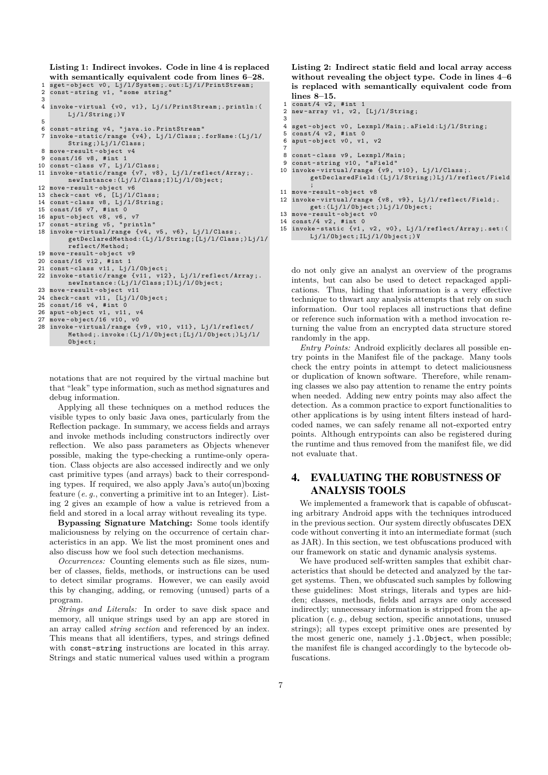<span id="page-6-1"></span>**Listing 1: Indirect invokes. Code in line 4 is replaced with semantically equivalent code from lines 6–28.**

```
1 sget - object v0 , Lj /l/ System ;. out : Lj / i/ PrintStream ;
 2 const - string v1 , " some string "
 \overline{a}4 invoke - virtual {v0 , v1 }, Lj /i/ PrintStream ;. println :(
            Lj/1/String;) V
 \frac{5}{6}6 const-string v4, "java.io.PrintStream"<br>7 invoke-static/range \{v4\}, [i]//2lass.
    invoke - static / range \{ v4 \}, Lj/l/Class;.forName:(Lj/l/
           String;) Lj/l/Class;
 8 move-result-object v4<br>9 const/16 v8. #int 1
9 const/16 v8, #int 1<br>10 const-class v7. Li/
    const-class v7, Lj/1/Class;
11 invoke - static / range {v7 , v8 }, Lj /l/ reflect / Array ;.
           newInstance: (Lj/l/Class;I)Lj/l/Object;12 move - result - object v6
13 check - cast v6 , [ Lj /l/ Class ;
14 const-class v8, Lj/l/String;
15 const /16 v7 , # int 0
16 aput - object v8 , v6 , v7
17 const - string v5 , " println "
18 invoke - virtual / range {v4 , v5 , v6 } , Lj /l/ Class ;.
getDeclaredMethod :( Lj /l / String ;[ Lj /l/ Class ;) Lj /l/
            reflect / Method ;
19 move-result-object v9<br>20 const/16 v12. #int 1
20 const/16 v12, #int 1<br>21 const-class v11, Lj/
21 const-class v11, Lj/l/0bject;<br>22 invoke-static/range \frac{f}{l} v11 v12
    invoke - static / range \{ v11, v12 \}, Lj/l/reflect/Array;.
           newInstance :( Lj /l/ Class ;I) Lj /l/ Object ;
23 move - result - object v11
24 check - cast v11 , [ Lj /l/ Object ;
25 const/16 v4, #int 0
26 aput-object v1, v11,<br>27 move-object/16 v10.
27 move-object/16 v10, v0<br>28 invoke-virtual/range {
28 invoke - virtual / range {v9 , v10 , v11 }, Lj /l/ reflect /
Method ;. invoke :( Lj /l/ Object ;[ Lj /l/ Object ;) Lj /l /
            Object:
```
notations that are not required by the virtual machine but that "leak" type information, such as method signatures and debug information.

Applying all these techniques on a method reduces the visible types to only basic Java ones, particularly from the Reflection package. In summary, we access fields and arrays and invoke methods including constructors indirectly over reflection. We also pass parameters as Objects whenever possible, making the type-checking a runtime-only operation. Class objects are also accessed indirectly and we only cast primitive types (and arrays) back to their corresponding types. If required, we also apply Java's auto(un)boxing feature (*e. g.*, converting a primitive int to an Integer). Listing [2](#page-6-2) gives an example of how a value is retrieved from a field and stored in a local array without revealing its type.

**Bypassing Signature Matching:** Some tools identify maliciousness by relying on the occurrence of certain characteristics in an app. We list the most prominent ones and also discuss how we fool such detection mechanisms.

*Occurrences:* Counting elements such as file sizes, number of classes, fields, methods, or instructions can be used to detect similar programs. However, we can easily avoid this by changing, adding, or removing (unused) parts of a program.

*Strings and Literals:* In order to save disk space and memory, all unique strings used by an app are stored in an array called *string section* and referenced by an index. This means that all identifiers, types, and strings defined with const-string instructions are located in this array. Strings and static numerical values used within a program

<span id="page-6-2"></span>**Listing 2: Indirect static field and local array access without revealing the object type. Code in lines 4–6 is replaced with semantically equivalent code from lines 8–15.**

```
1 const /4 v2 , # int 1
 2 new-array v1, v2, [Lj/l/String;3
 4 sget-object v0, Lexmpl/Main; . a Field: Lj/l/String;<br>5 const /4 v2 #int 0
 5 \frac{\text{const}}{4} v2, #int 0<br>6 aput-object v0 v1
    aput - object v0, v1, v28
 8 const-class v9, Lexmpl/Main;<br>9 const-string v10, "aField"
9 const-string v10, "aField"<br>10 invoke-virtual/range {v9.
    invoke-virtual/range \{v9, v10\}, Lj/l/Class;
           getDeclaredField: (Lj/l/String;)Lj/l/reflect/Field
           ;
11 move-result-object v8<br>12 invoke-virtual/range
    invoke-virtual/range \{v8, v9\}, Lj/l/reflect/Field;.
           get :( Lj /l/ Object ;) Lj /l/ Object ;
13 move-result-object v0<br>14 const/4 v2, #int 0
14 const/4 v2, #int 0<br>15 invoke-static \{v1,15 invoke - static {v1 , v2 , v0 } , Lj /l/ reflect / Array ;. set :(
Lj /l/ Object ; ILj / l/ Object ;) V
```
do not only give an analyst an overview of the programs intents, but can also be used to detect repackaged applications. Thus, hiding that information is a very effective technique to thwart any analysis attempts that rely on such information. Our tool replaces all instructions that define or reference such information with a method invocation returning the value from an encrypted data structure stored randomly in the app.

*Entry Points:* Android explicitly declares all possible entry points in the Manifest file of the package. Many tools check the entry points in attempt to detect maliciousness or duplication of known software. Therefore, while renaming classes we also pay attention to rename the entry points when needed. Adding new entry points may also affect the detection. As a common practice to export functionalities to other applications is by using intent filters instead of hardcoded names, we can safely rename all not-exported entry points. Although entrypoints can also be registered during the runtime and thus removed from the manifest file, we did not evaluate that.

# <span id="page-6-0"></span>4. EVALUATING THE ROBUSTNESS OF ANALYSIS TOOLS

We implemented a framework that is capable of obfuscating arbitrary Android apps with the techniques introduced in the previous section. Our system directly obfuscates DEX code without converting it into an intermediate format (such as JAR). In this section, we test obfuscations produced with our framework on static and dynamic analysis systems.

We have produced self-written samples that exhibit characteristics that should be detected and analyzed by the target systems. Then, we obfuscated such samples by following these guidelines: Most strings, literals and types are hidden; classes, methods, fields and arrays are only accessed indirectly; unnecessary information is stripped from the application (*e. g.*, debug section, specific annotations, unused strings); all types except primitive ones are presented by the most generic one, namely j.l.Object, when possible; the manifest file is changed accordingly to the bytecode obfuscations.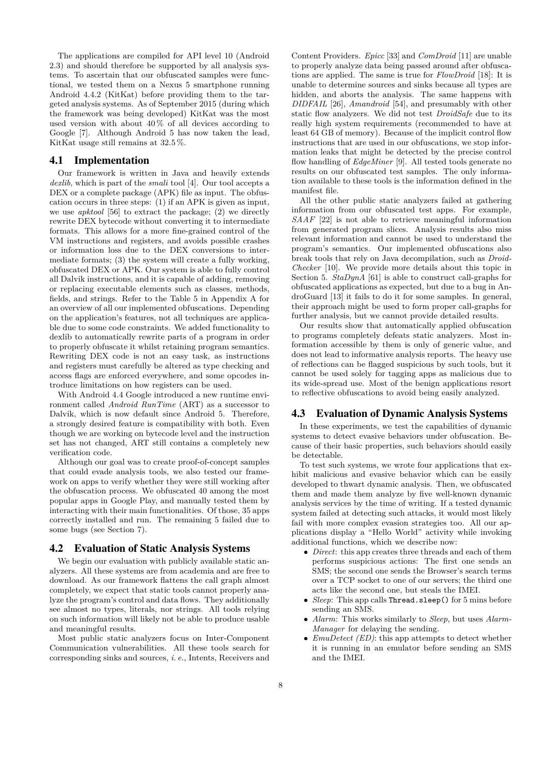The applications are compiled for API level 10 (Android 2.3) and should therefore be supported by all analysis systems. To ascertain that our obfuscated samples were functional, we tested them on a Nexus 5 smartphone running Android 4.4.2 (KitKat) before providing them to the targeted analysis systems. As of September 2015 (during which the framework was being developed) KitKat was the most used version with about  $40\%$  of all devices according to Google [\[7\]](#page-11-5). Although Android 5 has now taken the lead, KitKat usage still remains at 32.5 %.

### 4.1 Implementation

Our framework is written in Java and heavily extends *dexlib*, which is part of the *smali* tool [\[4\]](#page-11-0). Our tool accepts a DEX or a complete package (APK) file as input. The obfuscation occurs in three steps: (1) if an APK is given as input, we use *apktool* [\[56\]](#page-13-19) to extract the package; (2) we directly rewrite DEX bytecode without converting it to intermediate formats. This allows for a more fine-grained control of the VM instructions and registers, and avoids possible crashes or information loss due to the DEX conversions to intermediate formats; (3) the system will create a fully working, obfuscated DEX or APK. Our system is able to fully control all Dalvik instructions, and it is capable of adding, removing or replacing executable elements such as classes, methods, fields, and strings. Refer to the Table [5](#page-14-0) in Appendix [A](#page-13-20) for an overview of all our implemented obfuscations. Depending on the application's features, not all techniques are applicable due to some code constraints. We added functionality to dexlib to automatically rewrite parts of a program in order to properly obfuscate it whilst retaining program semantics. Rewriting DEX code is not an easy task, as instructions and registers must carefully be altered as type checking and access flags are enforced everywhere, and some opcodes introduce limitations on how registers can be used.

With Android 4.4 Google introduced a new runtime environment called *Android RunTime* (ART) as a successor to Dalvik, which is now default since Android 5. Therefore, a strongly desired feature is compatibility with both. Even though we are working on bytecode level and the instruction set has not changed, ART still contains a completely new verification code.

Although our goal was to create proof-of-concept samples that could evade analysis tools, we also tested our framework on apps to verify whether they were still working after the obfuscation process. We obfuscated 40 among the most popular apps in Google Play, and manually tested them by interacting with their main functionalities. Of those, 35 apps correctly installed and run. The remaining 5 failed due to some bugs (see Section [7\)](#page-11-6).

## 4.2 Evaluation of Static Analysis Systems

We begin our evaluation with publicly available static analyzers. All these systems are from academia and are free to download. As our framework flattens the call graph almost completely, we expect that static tools cannot properly analyze the program's control and data flows. They additionally see almost no types, literals, nor strings. All tools relying on such information will likely not be able to produce usable and meaningful results.

Most public static analyzers focus on Inter-Component Communication vulnerabilities. All these tools search for corresponding sinks and sources, *i. e.*, Intents, Receivers and

Content Providers. *Epicc* [\[33\]](#page-12-15) and *ComDroid* [\[11\]](#page-12-0) are unable to properly analyze data being passed around after obfuscations are applied. The same is true for *FlowDroid* [\[18\]](#page-12-10): It is unable to determine sources and sinks because all types are hidden, and aborts the analysis. The same happens with *DIDFAIL* [\[26\]](#page-12-17), *Amandroid* [\[54\]](#page-13-5), and presumably with other static flow analyzers. We did not test *DroidSafe* due to its really high system requirements (recommended to have at least 64 GB of memory). Because of the implicit control flow instructions that are used in our obfuscations, we stop information leaks that might be detected by the precise control flow handling of *EdgeMiner* [\[9\]](#page-11-2). All tested tools generate no results on our obfuscated test samples. The only information available to these tools is the information defined in the manifest file.

All the other public static analyzers failed at gathering information from our obfuscated test apps. For example, *SAAF* [\[22\]](#page-12-8) is not able to retrieve meaningful information from generated program slices. Analysis results also miss relevant information and cannot be used to understand the program's semantics. Our implemented obfuscations also break tools that rely on Java decompilation, such as *Droid-Checker* [\[10\]](#page-11-3). We provide more details about this topic in Section [5.](#page-9-0) *StaDynA* [\[61\]](#page-13-4) is able to construct call-graphs for obfuscated applications as expected, but due to a bug in AndroGuard [\[13\]](#page-12-1) it fails to do it for some samples. In general, their approach might be used to form proper call-graphs for further analysis, but we cannot provide detailed results.

Our results show that automatically applied obfuscation to programs completely defeats static analyzers. Most information accessible by them is only of generic value, and does not lead to informative analysis reports. The heavy use of reflections can be flagged suspicious by such tools, but it cannot be used solely for tagging apps as malicious due to its wide-spread use. Most of the benign applications resort to reflective obfuscations to avoid being easily analyzed.

## 4.3 Evaluation of Dynamic Analysis Systems

In these experiments, we test the capabilities of dynamic systems to detect evasive behaviors under obfuscation. Because of their basic properties, such behaviors should easily be detectable.

To test such systems, we wrote four applications that exhibit malicious and evasive behavior which can be easily developed to thwart dynamic analysis. Then, we obfuscated them and made them analyze by five well-known dynamic analysis services by the time of writing. If a tested dynamic system failed at detecting such attacks, it would most likely fail with more complex evasion strategies too. All our applications display a "Hello World" activity while invoking additional functions, which we describe now:

- *Direct*: this app creates three threads and each of them performs suspicious actions: The first one sends an SMS; the second one sends the Browser's search terms over a TCP socket to one of our servers; the third one acts like the second one, but steals the IMEI.
- *Sleep*: This app calls Thread.sleep() for 5 mins before sending an SMS.
- *Alarm*: This works similarly to *Sleep*, but uses *Alarm-Manager* for delaying the sending.
- *EmuDetect (ED)*: this app attempts to detect whether it is running in an emulator before sending an SMS and the IMEI.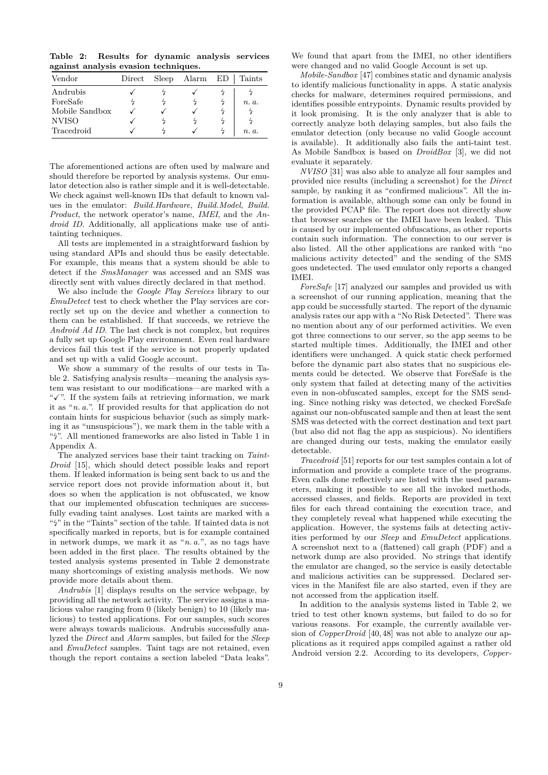<span id="page-8-0"></span>**Table 2: Results for dynamic analysis services against analysis evasion techniques.**

| Vendor         | Direct | Sleep | Alarm | ED | <b>Taints</b> |
|----------------|--------|-------|-------|----|---------------|
| Andrubis       |        |       |       |    |               |
| ForeSafe       |        |       |       |    | n. a.         |
| Mobile Sandbox |        |       |       |    |               |
| <b>NVISO</b>   |        |       |       |    |               |
| Tracedroid     |        |       |       |    | n. a.         |

The aforementioned actions are often used by malware and should therefore be reported by analysis systems. Our emulator detection also is rather simple and it is well-detectable. We check against well-known IDs that default to known values in the emulator: *Build.Hardware*, *Build.Model*, *Build. Product*, the network operator's name, *IMEI*, and the *Android ID*. Additionally, all applications make use of antitainting techniques.

All tests are implemented in a straightforward fashion by using standard APIs and should thus be easily detectable. For example, this means that a system should be able to detect if the *SmsManager* was accessed and an SMS was directly sent with values directly declared in that method.

We also include the *Google Play Services* library to our *EmuDetect* test to check whether the Play services are correctly set up on the device and whether a connection to them can be established. If that succeeds, we retrieve the *Android Ad ID*. The last check is not complex, but requires a fully set up Google Play environment. Even real hardware devices fail this test if the service is not properly updated and set up with a valid Google account.

We show a summary of the results of our tests in Table [2.](#page-8-0) Satisfying analysis results—meaning the analysis system was resistant to our modifications—are marked with a " $\checkmark$ ". If the system fails at retrieving information, we mark it as "*n. a.*". If provided results for that application do not contain hints for suspicious behavior (such as simply marking it as "unsuspicious"), we mark them in the table with a " $\frac{1}{2}$  $\frac{1}{2}$  $\frac{1}{2}$ ". All mentioned frameworks are also listed in Table 1 in Appendix [A.](#page-13-20)

The analyzed services base their taint tracking on *Taint-Droid* [\[15\]](#page-12-9), which should detect possible leaks and report them. If leaked information is being sent back to us and the service report does not provide information about it, but does so when the application is not obfuscated, we know that our implemented obfuscation techniques are successfully evading taint analyses. Lost taints are marked with a " $4$ " in the "Taints" section of the table. If tainted data is not specifically marked in reports, but is for example contained in network dumps, we mark it as "*n. a.*", as no tags have been added in the first place. The results obtained by the tested analysis systems presented in Table [2](#page-8-0) demonstrate many shortcomings of existing analysis methods. We now provide more details about them.

*Andrubis* [\[1\]](#page-11-4) displays results on the service webpage, by providing all the network activity. The service assigns a malicious value ranging from 0 (likely benign) to 10 (likely malicious) to tested applications. For our samples, such scores were always towards malicious. Andrubis successfully analyzed the *Direct* and *Alarm* samples, but failed for the *Sleep* and *EmuDetect* samples. Taint tags are not retained, even though the report contains a section labeled "Data leaks".

We found that apart from the IMEI, no other identifiers were changed and no valid Google Account is set up.

*Mobile-Sandbox* [\[47\]](#page-13-12) combines static and dynamic analysis to identify malicious functionality in apps. A static analysis checks for malware, determines required permissions, and identifies possible entrypoints. Dynamic results provided by it look promising. It is the only analyzer that is able to correctly analyze both delaying samples, but also fails the emulator detection (only because no valid Google account is available). It additionally also fails the anti-taint test. As Mobile Sandbox is based on *DroidBox* [\[3\]](#page-11-7), we did not evaluate it separately.

*NVISO* [\[31\]](#page-12-22) was also able to analyze all four samples and provided nice results (including a screenshot) for the *Direct* sample, by ranking it as "confirmed malicious". All the information is available, although some can only be found in the provided PCAP file. The report does not directly show that browser searches or the IMEI have been leaked. This is caused by our implemented obfuscations, as other reports contain such information. The connection to our server is also listed. All the other applications are ranked with "no malicious activity detected" and the sending of the SMS goes undetected. The used emulator only reports a changed IMEI.

*ForeSafe* [\[17\]](#page-12-21) analyzed our samples and provided us with a screenshot of our running application, meaning that the app could be successfully started. The report of the dynamic analysis rates our app with a "No Risk Detected". There was no mention about any of our performed activities. We even got three connections to our server, so the app seems to be started multiple times. Additionally, the IMEI and other identifiers were unchanged. A quick static check performed before the dynamic part also states that no suspicious elements could be detected. We observe that ForeSafe is the only system that failed at detecting many of the activities even in non-obfuscated samples, except for the SMS sending. Since nothing risky was detected, we checked ForeSafe against our non-obfuscated sample and then at least the sent SMS was detected with the correct destination and text part (but also did not flag the app as suspicious). No identifiers are changed during our tests, making the emulator easily detectable.

*Tracedroid* [\[51\]](#page-13-11) reports for our test samples contain a lot of information and provide a complete trace of the programs. Even calls done reflectively are listed with the used parameters, making it possible to see all the invoked methods, accessed classes, and fields. Reports are provided in text files for each thread containing the execution trace, and they completely reveal what happened while executing the application. However, the systems fails at detecting activities performed by our *Sleep* and *EmuDetect* applications. A screenshot next to a (flattened) call graph (PDF) and a network dump are also provided. No strings that identify the emulator are changed, so the service is easily detectable and malicious activities can be suppressed. Declared services in the Manifest file are also started, even if they are not accessed from the application itself.

In addition to the analysis systems listed in Table [2,](#page-8-0) we tried to test other known systems, but failed to do so for various reasons. For example, the currently available version of *CopperDroid* [\[40,](#page-12-3)[48\]](#page-13-8) was not able to analyze our applications as it required apps compiled against a rather old Android version 2.2. According to its developers, *Copper-*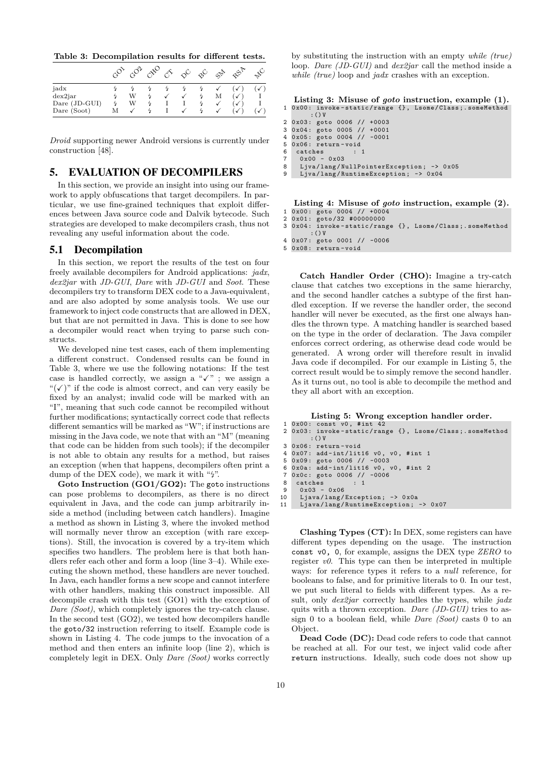<span id="page-9-1"></span>**Table 3: Decompilation results for different tests.**

|               |   |   |  |   | $\mathcal{S}^{\circ}$ | $\mathcal{P}_{\mathcal{P}}$ | $\mathbf{x}^{\mathbf{G}^{\prime}}$ |   |
|---------------|---|---|--|---|-----------------------|-----------------------------|------------------------------------|---|
| jadx          |   |   |  |   |                       |                             |                                    |   |
| dex2jar       |   | W |  | √ |                       | М                           | $\checkmark$                       |   |
| Dare (JD-GUI) |   | W |  |   |                       |                             | v                                  |   |
| Dare (Soot)   | М |   |  |   |                       |                             | √                                  | √ |

*Droid* supporting newer Android versions is currently under construction [\[48\]](#page-13-8).

## <span id="page-9-0"></span>5. EVALUATION OF DECOMPILERS

In this section, we provide an insight into using our framework to apply obfuscations that target decompilers. In particular, we use fine-grained techniques that exploit differences between Java source code and Dalvik bytecode. Such strategies are developed to make decompilers crash, thus not revealing any useful information about the code.

### 5.1 Decompilation

In this section, we report the results of the test on four freely available decompilers for Android applications: *jadx*, *dex2jar* with *JD-GUI*, *Dare* with *JD-GUI* and *Soot*. These decompilers try to transform DEX code to a Java-equivalent, and are also adopted by some analysis tools. We use our framework to inject code constructs that are allowed in DEX, but that are not permitted in Java. This is done to see how a decompiler would react when trying to parse such constructs.

We developed nine test cases, each of them implementing a different construct. Condensed results can be found in [Table 3,](#page-9-1) where we use the following notations: If the test case is handled correctly, we assign a " $\checkmark$ " ; we assign a " $(\checkmark)$ " if the code is almost correct, and can very easily be fixed by an analyst; invalid code will be marked with an "I", meaning that such code cannot be recompiled without further modifications; syntactically correct code that reflects different semantics will be marked as "W"; if instructions are missing in the Java code, we note that with an "M" (meaning that code can be hidden from such tools); if the decompiler is not able to obtain any results for a method, but raises an exception (when that happens, decompilers often print a dump of the DEX code), we mark it with " $\frac{1}{2}$ ".

**Goto Instruction (GO1/GO2):** The goto instructions can pose problems to decompilers, as there is no direct equivalent in Java, and the code can jump arbitrarily inside a method (including between catch handlers). Imagine a method as shown in [Listing 3,](#page-9-2) where the invoked method will normally never throw an exception (with rare exceptions). Still, the invocation is covered by a try-item which specifies two handlers. The problem here is that both handlers refer each other and form a loop (line 3–4). While executing the shown method, these handlers are never touched. In Java, each handler forms a new scope and cannot interfere with other handlers, making this construct impossible. All decompile crash with this test (GO1) with the exception of *Dare (Soot)*, which completely ignores the try-catch clause. In the second test (GO2), we tested how decompilers handle the goto/32 instruction referring to itself. Example code is shown in [Listing 4.](#page-9-3) The code jumps to the invocation of a method and then enters an infinite loop (line 2), which is completely legit in DEX. Only *Dare (Soot)* works correctly

by substituting the instruction with an empty *while (true)* loop. *Dare (JD-GUI)* and *dex2jar* call the method inside a *while (true)* loop and *jadx* crashes with an exception.

<span id="page-9-2"></span>

|  | Listing 3: Misuse of <i>goto</i> instruction, example (1). |
|--|------------------------------------------------------------|
|  | 1 0x00: invoke-static/range {}, Lsome/Class; someMethod    |
|  | $\cdot$ ( ) V                                              |

| 2 0x03: goto 0006 // +0003   |  |  |  |
|------------------------------|--|--|--|
| 3 0x04: goto 0005 // +0001   |  |  |  |
| 4 0x05: goto 0004 // -0001   |  |  |  |
| 5 Ox06: return-void          |  |  |  |
| $6 \quad catches \qquad : 1$ |  |  |  |
| $\overline{7}$ 0.00 0.00     |  |  |  |

7 0 x00 - 0 x03 8 Ljva / lang / NullPointerException ; -> 0 x05

```
9 Ljva/lang/RuntimeException; -> 0x04
```
<span id="page-9-3"></span>**Listing 4: Misuse of** *goto* **instruction, example (2).**

```
1 0 x00 : goto 0004 // +0004
```
2 0x01: goto/32 #000000000<br>3 0x04: invoke-static/ran 0x04: invoke-static/range {}, Lsome/Class; . someMethod

 $:$  () V

```
4 0 x07 : goto 0001 // -0006
5 0 x08 : return - void
```
**Catch Handler Order (CHO):** Imagine a try-catch clause that catches two exceptions in the same hierarchy, and the second handler catches a subtype of the first handled exception. If we reverse the handler order, the second handler will never be executed, as the first one always handles the thrown type. A matching handler is searched based on the type in the order of declaration. The Java compiler enforces correct ordering, as otherwise dead code would be generated. A wrong order will therefore result in invalid Java code if decompiled. For our example in [Listing 5,](#page-9-4) the correct result would be to simply remove the second handler. As it turns out, no tool is able to decompile the method and they all abort with an exception.

## **Listing 5: Wrong exception handler order.**

<span id="page-9-4"></span> $1$  0x00: const v0, #int 42<br>2 0x03: invoke-static/ran 0x03: invoke-static/range {}, Lsome/Class; . someMethod

```
:() V
3 0 x06 : return - void
```

```
4 \overline{0 \times 07}: add - int/lit16 v0, v0, # int 1<br>5 0x09: goto 0006 // -0003
```

```
50x09: goto 0006 // -0003<br>6 0x0a: add-int/lit16 v0.
   0x0a: add-int/lit16 v0, v0, #int 2
```

```
7 0 x 0 c: goto 0006 // -0006<br>8 catches : 1
```

```
8 \quad \text{catches}<br>9 \quad 0 \times 03 =
```

```
0 x 03 - 0 x 06
```
10 Ljava / lang / Exception ; -> 0 x0a 11 Ljava / lang / RuntimeException ; -> 0 x07

**Clashing Types (CT):** In DEX, some registers can have different types depending on the usage. The instruction const v0, 0, for example, assigns the DEX type *ZERO* to register  $v\theta$ . This type can then be interpreted in multiple ways: for reference types it refers to a *null* reference, for booleans to false, and for primitive literals to 0. In our test, we put such literal to fields with different types. As a result, only *dex2jar* correctly handles the types, while *jadx* quits with a thrown exception. *Dare (JD-GUI)* tries to assign 0 to a boolean field, while *Dare (Soot)* casts 0 to an Object.

**Dead Code (DC):** Dead code refers to code that cannot be reached at all. For our test, we inject valid code after return instructions. Ideally, such code does not show up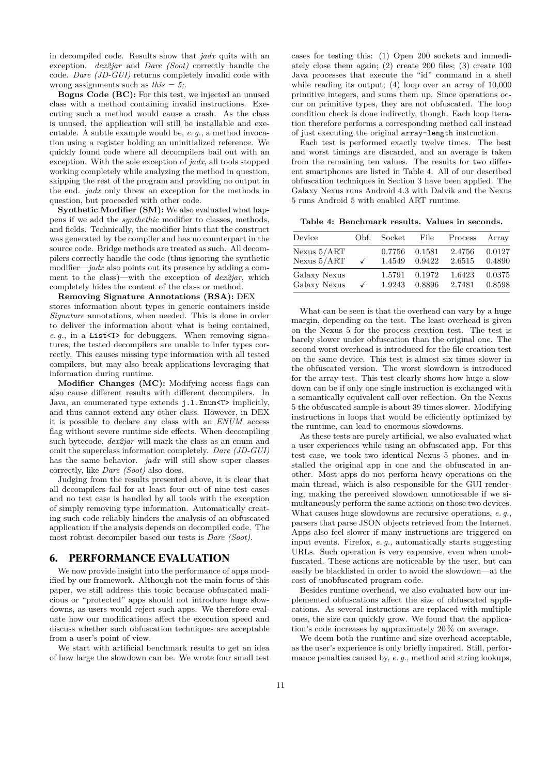in decompiled code. Results show that *jadx* quits with an exception. *dex2jar* and *Dare (Soot)* correctly handle the code. *Dare (JD-GUI)* returns completely invalid code with wrong assignments such as *this = 5;*.

**Bogus Code (BC):** For this test, we injected an unused class with a method containing invalid instructions. Executing such a method would cause a crash. As the class is unused, the application will still be installable and executable. A subtle example would be, *e. g.*, a method invocation using a register holding an uninitialized reference. We quickly found code where all decompilers bail out with an exception. With the sole exception of *jadx*, all tools stopped working completely while analyzing the method in question, skipping the rest of the program and providing no output in the end. *jadx* only threw an exception for the methods in question, but proceeded with other code.

**Synthetic Modifier (SM):** We also evaluated what happens if we add the *synthethic* modifier to classes, methods, and fields. Technically, the modifier hints that the construct was generated by the compiler and has no counterpart in the source code. Bridge methods are treated as such. All decompilers correctly handle the code (thus ignoring the synthetic modifier—*jadx* also points out its presence by adding a comment to the class)—with the exception of *dex2jar*, which completely hides the content of the class or method.

**Removing Signature Annotations (RSA):** DEX stores information about types in generic containers inside *Signature* annotations, when needed. This is done in order to deliver the information about what is being contained, *e. g.*, in a List<T> for debuggers. When removing signatures, the tested decompilers are unable to infer types correctly. This causes missing type information with all tested compilers, but may also break applications leveraging that information during runtime.

**Modifier Changes (MC):** Modifying access flags can also cause different results with different decompilers. In Java, an enumerated type extends j.l.Enum<T> implicitly, and thus cannot extend any other class. However, in DEX it is possible to declare any class with an *ENUM* access flag without severe runtime side effects. When decompiling such bytecode, *dex2jar* will mark the class as an enum and omit the superclass information completely. *Dare (JD-GUI)* has the same behavior. *jadx* will still show super classes correctly, like *Dare (Soot)* also does.

Judging from the results presented above, it is clear that all decompilers fail for at least four out of nine test cases and no test case is handled by all tools with the exception of simply removing type information. Automatically creating such code reliably hinders the analysis of an obfuscated application if the analysis depends on decompiled code. The most robust decompiler based our tests is *Dare (Soot)*.

## 6. PERFORMANCE EVALUATION

We now provide insight into the performance of apps modified by our framework. Although not the main focus of this paper, we still address this topic because obfuscated malicious or "protected" apps should not introduce huge slowdowns, as users would reject such apps. We therefore evaluate how our modifications affect the execution speed and discuss whether such obfuscation techniques are acceptable from a user's point of view.

We start with artificial benchmark results to get an idea of how large the slowdown can be. We wrote four small test cases for testing this: (1) Open 200 sockets and immediately close them again; (2) create 200 files; (3) create 100 Java processes that execute the "id" command in a shell while reading its output; (4) loop over an array of 10,000 primitive integers, and sums them up. Since operations occur on primitive types, they are not obfuscated. The loop condition check is done indirectly, though. Each loop iteration therefore performs a corresponding method call instead of just executing the original array-length instruction.

Each test is performed exactly twelve times. The best and worst timings are discarded, and an average is taken from the remaining ten values. The results for two different smartphones are listed in Table [4.](#page-10-0) All of our described obfuscation techniques in Section [3](#page-5-0) have been applied. The Galaxy Nexus runs Android 4.3 with Dalvik and the Nexus 5 runs Android 5 with enabled ART runtime.

<span id="page-10-0"></span>**Table 4: Benchmark results. Values in seconds.**

| Device        | Obf. | Socket | File   | Process | Array  |
|---------------|------|--------|--------|---------|--------|
| Nexus $5/ART$ |      | 0.7756 | 0.1581 | 2.4756  | 0.0127 |
| Nexus $5/ART$ |      | 1.4549 | 0.9422 | 2.6515  | 0.4890 |
| Galaxy Nexus  | ✓    | 1.5791 | 0.1972 | 1.6423  | 0.0375 |
| Galaxy Nexus  |      | 1.9243 | 0.8896 | 2.7481  | 0.8598 |

What can be seen is that the overhead can vary by a huge margin, depending on the test. The least overhead is given on the Nexus 5 for the process creation test. The test is barely slower under obfuscation than the original one. The second worst overhead is introduced for the file creation test on the same device. This test is almost six times slower in the obfuscated version. The worst slowdown is introduced for the array-test. This test clearly shows how huge a slowdown can be if only one single instruction is exchanged with a semantically equivalent call over reflection. On the Nexus 5 the obfuscated sample is about 39 times slower. Modifying instructions in loops that would be efficiently optimized by the runtime, can lead to enormous slowdowns.

As these tests are purely artificial, we also evaluated what a user experiences while using an obfuscated app. For this test case, we took two identical Nexus 5 phones, and installed the original app in one and the obfuscated in another. Most apps do not perform heavy operations on the main thread, which is also responsible for the GUI rendering, making the perceived slowdown unnoticeable if we simultaneously perform the same actions on those two devices. What causes huge slowdowns are recursive operations, *e. g.*, parsers that parse JSON objects retrieved from the Internet. Apps also feel slower if many instructions are triggered on input events. Firefox, *e. g.*, automatically starts suggesting URLs. Such operation is very expensive, even when unobfuscated. These actions are noticeable by the user, but can easily be blacklisted in order to avoid the slowdown—at the cost of unobfuscated program code.

Besides runtime overhead, we also evaluated how our implemented obfuscations affect the size of obfuscated applications. As several instructions are replaced with multiple ones, the size can quickly grow. We found that the application's code increases by approximately 20 % on average.

We deem both the runtime and size overhead acceptable, as the user's experience is only briefly impaired. Still, performance penalties caused by, *e. g.*, method and string lookups,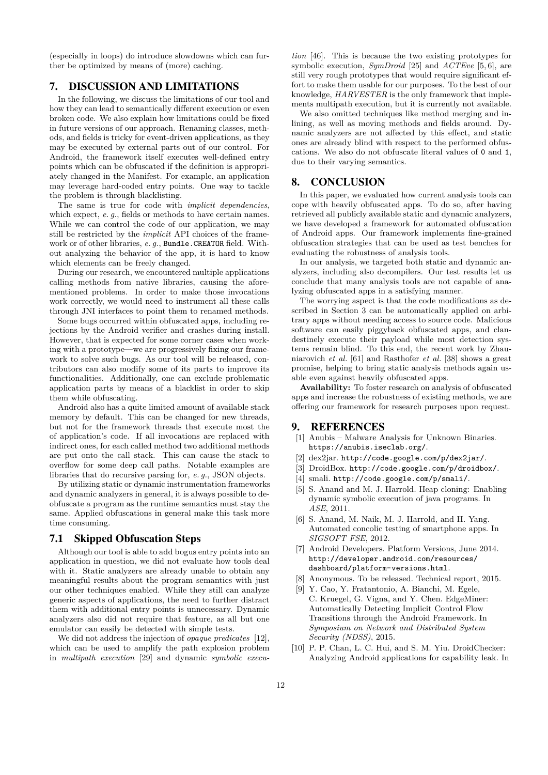(especially in loops) do introduce slowdowns which can further be optimized by means of (more) caching.

# <span id="page-11-6"></span>7. DISCUSSION AND LIMITATIONS

In the following, we discuss the limitations of our tool and how they can lead to semantically different execution or even broken code. We also explain how limitations could be fixed in future versions of our approach. Renaming classes, methods, and fields is tricky for event-driven applications, as they may be executed by external parts out of our control. For Android, the framework itself executes well-defined entry points which can be obfuscated if the definition is appropriately changed in the Manifest. For example, an application may leverage hard-coded entry points. One way to tackle the problem is through blacklisting.

The same is true for code with *implicit dependencies*, which expect, *e. q.*, fields or methods to have certain names. While we can control the code of our application, we may still be restricted by the *implicit* API choices of the framework or of other libraries, *e. g.*, Bundle.CREATOR field. Without analyzing the behavior of the app, it is hard to know which elements can be freely changed.

During our research, we encountered multiple applications calling methods from native libraries, causing the aforementioned problems. In order to make those invocations work correctly, we would need to instrument all these calls through JNI interfaces to point them to renamed methods.

Some bugs occurred within obfuscated apps, including rejections by the Android verifier and crashes during install. However, that is expected for some corner cases when working with a prototype—we are progressively fixing our framework to solve such bugs. As our tool will be released, contributors can also modify some of its parts to improve its functionalities. Additionally, one can exclude problematic application parts by means of a blacklist in order to skip them while obfuscating.

Android also has a quite limited amount of available stack memory by default. This can be changed for new threads, but not for the framework threads that execute most the of application's code. If all invocations are replaced with indirect ones, for each called method two additional methods are put onto the call stack. This can cause the stack to overflow for some deep call paths. Notable examples are libraries that do recursive parsing for, *e. g.*, JSON objects.

By utilizing static or dynamic instrumentation frameworks and dynamic analyzers in general, it is always possible to deobfuscate a program as the runtime semantics must stay the same. Applied obfuscations in general make this task more time consuming.

## 7.1 Skipped Obfuscation Steps

Although our tool is able to add bogus entry points into an application in question, we did not evaluate how tools deal with it. Static analyzers are already unable to obtain any meaningful results about the program semantics with just our other techniques enabled. While they still can analyze generic aspects of applications, the need to further distract them with additional entry points is unnecessary. Dynamic analyzers also did not require that feature, as all but one emulator can easily be detected with simple tests.

We did not address the injection of *opaque predicates* [\[12\]](#page-12-28), which can be used to amplify the path explosion problem in *multipath execution* [\[29\]](#page-12-29) and dynamic *symbolic execu-*

*tion* [\[46\]](#page-13-21). This is because the two existing prototypes for symbolic execution, *SymDroid* [\[25\]](#page-12-30) and *ACTEve* [\[5,](#page-11-8) [6\]](#page-11-9), are still very rough prototypes that would require significant effort to make them usable for our purposes. To the best of our knowledge, *HARVESTER* is the only framework that implements multipath execution, but it is currently not available.

We also omitted techniques like method merging and inlining, as well as moving methods and fields around. Dynamic analyzers are not affected by this effect, and static ones are already blind with respect to the performed obfuscations. We also do not obfuscate literal values of 0 and 1, due to their varying semantics.

## 8. CONCLUSION

In this paper, we evaluated how current analysis tools can cope with heavily obfuscated apps. To do so, after having retrieved all publicly available static and dynamic analyzers, we have developed a framework for automated obfuscation of Android apps. Our framework implements fine-grained obfuscation strategies that can be used as test benches for evaluating the robustness of analysis tools.

In our analysis, we targeted both static and dynamic analyzers, including also decompilers. Our test results let us conclude that many analysis tools are not capable of analyzing obfuscated apps in a satisfying manner.

The worrying aspect is that the code modifications as described in Section [3](#page-5-0) can be automatically applied on arbitrary apps without needing access to source code. Malicious software can easily piggyback obfuscated apps, and clandestinely execute their payload while most detection systems remain blind. To this end, the recent work by Zhauniarovich *et al.* [\[61\]](#page-13-4) and Rasthofer *et al.* [\[38\]](#page-12-11) shows a great promise, helping to bring static analysis methods again usable even against heavily obfuscated apps.

**Availability:** To foster research on analysis of obfuscated apps and increase the robustness of existing methods, we are offering our framework for research purposes upon request.

## 9. REFERENCES

- <span id="page-11-4"></span>[1] Anubis – Malware Analysis for Unknown Binaries. <https://anubis.iseclab.org/>.
- <span id="page-11-1"></span>[2] dex2jar. <http://code.google.com/p/dex2jar/>.
- <span id="page-11-7"></span>[3] DroidBox. <http://code.google.com/p/droidbox/>.
- <span id="page-11-0"></span>[4] smali. <http://code.google.com/p/smali/>.
- <span id="page-11-8"></span>[5] S. Anand and M. J. Harrold. Heap cloning: Enabling dynamic symbolic execution of java programs. In *ASE*, 2011.
- <span id="page-11-9"></span>[6] S. Anand, M. Naik, M. J. Harrold, and H. Yang. Automated concolic testing of smartphone apps. In *SIGSOFT FSE*, 2012.
- <span id="page-11-5"></span>[7] Android Developers. Platform Versions, June 2014. [http://developer.android.com/resources/](http://developer.android.com/resources/dashboard/platform-versions.html) [dashboard/platform-versions.html](http://developer.android.com/resources/dashboard/platform-versions.html).
- [8] Anonymous. To be released. Technical report, 2015.
- <span id="page-11-2"></span>[9] Y. Cao, Y. Fratantonio, A. Bianchi, M. Egele, C. Kruegel, G. Vigna, and Y. Chen. EdgeMiner: Automatically Detecting Implicit Control Flow Transitions through the Android Framework. In *Symposium on Network and Distributed System Security (NDSS)*, 2015.
- <span id="page-11-3"></span>[10] P. P. Chan, L. C. Hui, and S. M. Yiu. DroidChecker: Analyzing Android applications for capability leak. In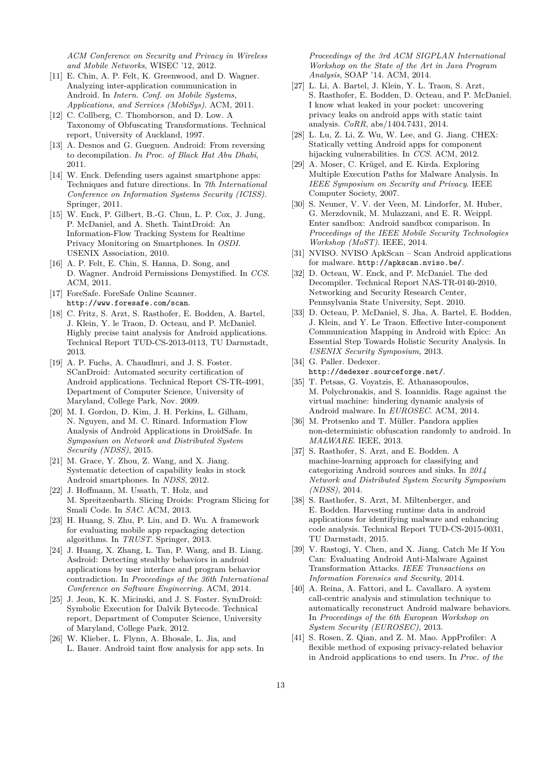*ACM Conference on Security and Privacy in Wireless and Mobile Networks*, WISEC '12, 2012.

- <span id="page-12-0"></span>[11] E. Chin, A. P. Felt, K. Greenwood, and D. Wagner. Analyzing inter-application communication in Android. In *Intern. Conf. on Mobile Systems, Applications, and Services (MobiSys)*. ACM, 2011.
- <span id="page-12-28"></span>[12] C. Collberg, C. Thomborson, and D. Low. A Taxonomy of Obfuscating Transformations. Technical report, University of Auckland, 1997.
- <span id="page-12-1"></span>[13] A. Desnos and G. Gueguen. Android: From reversing to decompilation. *In Proc. of Black Hat Abu Dhabi*, 2011.
- <span id="page-12-4"></span>[14] W. Enck. Defending users against smartphone apps: Techniques and future directions. In *7th International Conference on Information Systems Security (ICISS)*. Springer, 2011.
- <span id="page-12-9"></span>[15] W. Enck, P. Gilbert, B.-G. Chun, L. P. Cox, J. Jung, P. McDaniel, and A. Sheth. TaintDroid: An Information-Flow Tracking System for Realtime Privacy Monitoring on Smartphones. In *OSDI*. USENIX Association, 2010.
- <span id="page-12-2"></span>[16] A. P. Felt, E. Chin, S. Hanna, D. Song, and D. Wagner. Android Permissions Demystified. In *CCS*. ACM, 2011.
- <span id="page-12-21"></span>[17] ForeSafe. ForeSafe Online Scanner. <http://www.foresafe.com/scan>.
- <span id="page-12-10"></span>[18] C. Fritz, S. Arzt, S. Rasthofer, E. Bodden, A. Bartel, J. Klein, Y. le Traon, D. Octeau, and P. McDaniel. Highly precise taint analysis for Android applications. Technical Report TUD-CS-2013-0113, TU Darmstadt, 2013.
- <span id="page-12-12"></span>[19] A. P. Fuchs, A. Chaudhuri, and J. S. Foster. SCanDroid: Automated security certification of Android applications. Technical Report CS-TR-4991, Department of Computer Science, University of Maryland, College Park, Nov. 2009.
- <span id="page-12-18"></span>[20] M. I. Gordon, D. Kim, J. H. Perkins, L. Gilham, N. Nguyen, and M. C. Rinard. Information Flow Analysis of Android Applications in DroidSafe. In *Symposium on Network and Distributed System Security (NDSS)*, 2015.
- <span id="page-12-14"></span>[21] M. Grace, Y. Zhou, Z. Wang, and X. Jiang. Systematic detection of capability leaks in stock Android smartphones. In *NDSS*, 2012.
- <span id="page-12-8"></span>[22] J. Hoffmann, M. Ussath, T. Holz, and M. Spreitzenbarth. Slicing Droids: Program Slicing for Smali Code. In *SAC*. ACM, 2013.
- <span id="page-12-23"></span>[23] H. Huang, S. Zhu, P. Liu, and D. Wu. A framework for evaluating mobile app repackaging detection algorithms. In *TRUST*. Springer, 2013.
- <span id="page-12-20"></span>[24] J. Huang, X. Zhang, L. Tan, P. Wang, and B. Liang. Asdroid: Detecting stealthy behaviors in android applications by user interface and program behavior contradiction. In *Proceedings of the 36th International Conference on Software Engineering*. ACM, 2014.
- <span id="page-12-30"></span>[25] J. Jeon, K. K. Micinski, and J. S. Foster. SymDroid: Symbolic Execution for Dalvik Bytecode. Technical report, Department of Computer Science, University of Maryland, College Park, 2012.
- <span id="page-12-17"></span>[26] W. Klieber, L. Flynn, A. Bhosale, L. Jia, and L. Bauer. Android taint flow analysis for app sets. In

*Proceedings of the 3rd ACM SIGPLAN International Workshop on the State of the Art in Java Program Analysis*, SOAP '14. ACM, 2014.

- <span id="page-12-16"></span>[27] L. Li, A. Bartel, J. Klein, Y. L. Traon, S. Arzt, S. Rasthofer, E. Bodden, D. Octeau, and P. McDaniel. I know what leaked in your pocket: uncovering privacy leaks on android apps with static taint analysis. *CoRR*, abs/1404.7431, 2014.
- <span id="page-12-13"></span>[28] L. Lu, Z. Li, Z. Wu, W. Lee, and G. Jiang. CHEX: Statically vetting Android apps for component hijacking vulnerabilities. In *CCS*. ACM, 2012.
- <span id="page-12-29"></span>[29] A. Moser, C. Krügel, and E. Kirda. Exploring Multiple Execution Paths for Malware Analysis. In *IEEE Symposium on Security and Privacy*. IEEE Computer Society, 2007.
- <span id="page-12-5"></span>[30] S. Neuner, V. V. der Veen, M. Lindorfer, M. Huber, G. Merzdovnik, M. Mulazzani, and E. R. Weippl. Enter sandbox: Android sandbox comparison. In *Proceedings of the IEEE Mobile Security Technologies Workshop (MoST)*. IEEE, 2014.
- <span id="page-12-22"></span>[31] NVISO. NVISO ApkScan – Scan Android applications for malware. <http://apkscan.nviso.be/>.
- <span id="page-12-7"></span>[32] D. Octeau, W. Enck, and P. McDaniel. The ded Decompiler. Technical Report NAS-TR-0140-2010, Networking and Security Research Center, Pennsylvania State University, Sept. 2010.
- <span id="page-12-15"></span>[33] D. Octeau, P. McDaniel, S. Jha, A. Bartel, E. Bodden, J. Klein, and Y. Le Traon. Effective Inter-component Communication Mapping in Android with Epicc: An Essential Step Towards Holistic Security Analysis. In *USENIX Security Symposium*, 2013.
- <span id="page-12-6"></span>[34] G. Paller. Dedexer. <http://dedexer.sourceforge.net/>.
- <span id="page-12-26"></span>[35] T. Petsas, G. Voyatzis, E. Athanasopoulos, M. Polychronakis, and S. Ioannidis. Rage against the virtual machine: hindering dynamic analysis of Android malware. In *EUROSEC*. ACM, 2014.
- <span id="page-12-25"></span>[36] M. Protsenko and T. Müller. Pandora applies non-deterministic obfuscation randomly to android. In *MALWARE*. IEEE, 2013.
- <span id="page-12-27"></span>[37] S. Rasthofer, S. Arzt, and E. Bodden. A machine-learning approach for classifying and categorizing Android sources and sinks. In *2014 Network and Distributed System Security Symposium (NDSS)*, 2014.
- <span id="page-12-11"></span>[38] S. Rasthofer, S. Arzt, M. Miltenberger, and E. Bodden. Harvesting runtime data in android applications for identifying malware and enhancing code analysis. Technical Report TUD-CS-2015-0031, TU Darmstadt, 2015.
- <span id="page-12-24"></span>[39] V. Rastogi, Y. Chen, and X. Jiang. Catch Me If You Can: Evaluating Android Anti-Malware Against Transformation Attacks. *IEEE Transactions on Information Forensics and Security*, 2014.
- <span id="page-12-3"></span>[40] A. Reina, A. Fattori, and L. Cavallaro. A system call-centric analysis and stimulation technique to automatically reconstruct Android malware behaviors. In *Proceedings of the 6th European Workshop on System Security (EUROSEC)*, 2013.
- <span id="page-12-19"></span>[41] S. Rosen, Z. Qian, and Z. M. Mao. AppProfiler: A flexible method of exposing privacy-related behavior in Android applications to end users. In *Proc. of the*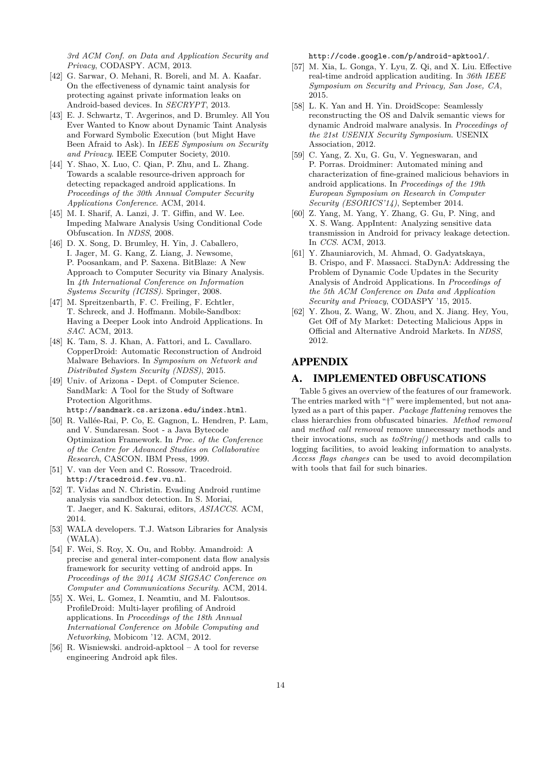*3rd ACM Conf. on Data and Application Security and Privacy*, CODASPY. ACM, 2013.

- <span id="page-13-18"></span>[42] G. Sarwar, O. Mehani, R. Boreli, and M. A. Kaafar. On the effectiveness of dynamic taint analysis for protecting against private information leaks on Android-based devices. In *SECRYPT*, 2013.
- <span id="page-13-17"></span>[43] E. J. Schwartz, T. Avgerinos, and D. Brumley. All You Ever Wanted to Know about Dynamic Taint Analysis and Forward Symbolic Execution (but Might Have Been Afraid to Ask). In *IEEE Symposium on Security and Privacy*. IEEE Computer Society, 2010.
- <span id="page-13-15"></span>[44] Y. Shao, X. Luo, C. Qian, P. Zhu, and L. Zhang. Towards a scalable resource-driven approach for detecting repackaged android applications. In *Proceedings of the 30th Annual Computer Security Applications Conference*. ACM, 2014.
- <span id="page-13-14"></span>[45] M. I. Sharif, A. Lanzi, J. T. Giffin, and W. Lee. Impeding Malware Analysis Using Conditional Code Obfuscation. In *NDSS*, 2008.
- <span id="page-13-21"></span>[46] D. X. Song, D. Brumley, H. Yin, J. Caballero, I. Jager, M. G. Kang, Z. Liang, J. Newsome, P. Poosankam, and P. Saxena. BitBlaze: A New Approach to Computer Security via Binary Analysis. In *4th International Conference on Information Systems Security (ICISS)*. Springer, 2008.
- <span id="page-13-12"></span>[47] M. Spreitzenbarth, F. C. Freiling, F. Echtler, T. Schreck, and J. Hoffmann. Mobile-Sandbox: Having a Deeper Look into Android Applications. In *SAC*. ACM, 2013.
- <span id="page-13-8"></span>[48] K. Tam, S. J. Khan, A. Fattori, and L. Cavallaro. CopperDroid: Automatic Reconstruction of Android Malware Behaviors. In *Symposium on Network and Distributed System Security (NDSS)*, 2015.
- <span id="page-13-13"></span>[49] Univ. of Arizona - Dept. of Computer Science. SandMark: A Tool for the Study of Software Protection Algorithms. <http://sandmark.cs.arizona.edu/index.html>.
- <span id="page-13-2"></span>[50] R. Vallée-Rai, P. Co, E. Gagnon, L. Hendren, P. Lam, and V. Sundaresan. Soot - a Java Bytecode Optimization Framework. In *Proc. of the Conference of the Centre for Advanced Studies on Collaborative Research*, CASCON. IBM Press, 1999.
- <span id="page-13-11"></span>[51] V. van der Veen and C. Rossow. Tracedroid. <http://tracedroid.few.vu.nl>.
- <span id="page-13-16"></span>[52] T. Vidas and N. Christin. Evading Android runtime analysis via sandbox detection. In S. Moriai, T. Jaeger, and K. Sakurai, editors, *ASIACCS*. ACM, 2014.
- <span id="page-13-3"></span>[53] WALA developers. T.J. Watson Libraries for Analysis (WALA).
- <span id="page-13-5"></span>[54] F. Wei, S. Roy, X. Ou, and Robby. Amandroid: A precise and general inter-component data flow analysis framework for security vetting of android apps. In *Proceedings of the 2014 ACM SIGSAC Conference on Computer and Communications Security*. ACM, 2014.
- <span id="page-13-7"></span>[55] X. Wei, L. Gomez, I. Neamtiu, and M. Faloutsos. ProfileDroid: Multi-layer profiling of Android applications. In *Proceedings of the 18th Annual International Conference on Mobile Computing and Networking*, Mobicom '12. ACM, 2012.
- <span id="page-13-19"></span>[56] R. Wisniewski. android-apktool – A tool for reverse engineering Android apk files.

<http://code.google.com/p/android-apktool/>.

- <span id="page-13-6"></span>[57] M. Xia, L. Gonga, Y. Lyu, Z. Qi, and X. Liu. Effective real-time android application auditing. In *36th IEEE Symposium on Security and Privacy, San Jose, CA*, 2015.
- <span id="page-13-0"></span>[58] L. K. Yan and H. Yin. DroidScope: Seamlessly reconstructing the OS and Dalvik semantic views for dynamic Android malware analysis. In *Proceedings of the 21st USENIX Security Symposium*. USENIX Association, 2012.
- <span id="page-13-10"></span>[59] C. Yang, Z. Xu, G. Gu, V. Yegneswaran, and P. Porras. Droidminer: Automated mining and characterization of fine-grained malicious behaviors in android applications. In *Proceedings of the 19th European Symposium on Research in Computer Security (ESORICS'14)*, September 2014.
- <span id="page-13-9"></span>[60] Z. Yang, M. Yang, Y. Zhang, G. Gu, P. Ning, and X. S. Wang. AppIntent: Analyzing sensitive data transmission in Android for privacy leakage detection. In *CCS*. ACM, 2013.
- <span id="page-13-4"></span>[61] Y. Zhauniarovich, M. Ahmad, O. Gadyatskaya, B. Crispo, and F. Massacci. StaDynA: Addressing the Problem of Dynamic Code Updates in the Security Analysis of Android Applications. In *Proceedings of the 5th ACM Conference on Data and Application Security and Privacy*, CODASPY '15, 2015.
- <span id="page-13-1"></span>[62] Y. Zhou, Z. Wang, W. Zhou, and X. Jiang. Hey, You, Get Off of My Market: Detecting Malicious Apps in Official and Alternative Android Markets. In *NDSS*, 2012.

# APPENDIX

## <span id="page-13-20"></span>A. IMPLEMENTED OBFUSCATIONS

Table [5](#page-14-0) gives an overview of the features of our framework. The entries marked with "†" were implemented, but not analyzed as a part of this paper. *Package flattening* removes the class hierarchies from obfuscated binaries. *Method removal* and *method call removal* remove unnecessary methods and their invocations, such as *toString()* methods and calls to logging facilities, to avoid leaking information to analysts. *Access flags changes* can be used to avoid decompilation with tools that fail for such binaries.